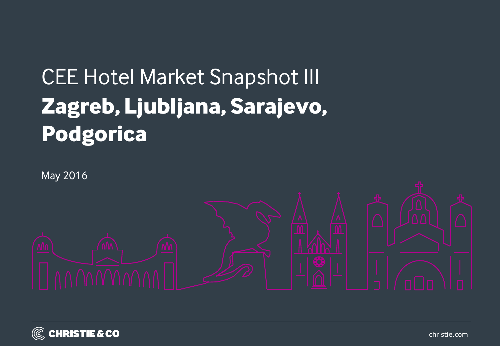# CEE Hotel Market Snapshot III **Zagreb, Ljubljana, Sarajevo, Podgorica**



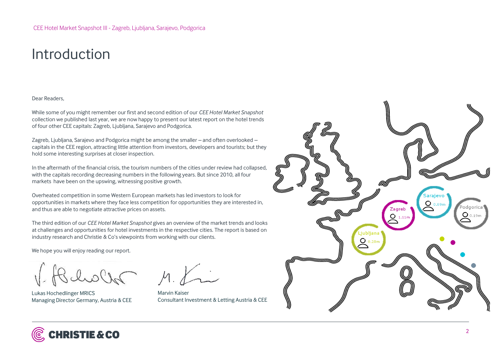## Introduction

#### Dear Readers,

While some of you might remember our first and second edition of our *CEE Hotel Market Snapshot*  collection we published last year, we are now happy to present our latest report on the hotel trends of four other CEE capitals: Zagreb, Ljubljana, Sarajevo and Podgorica.

Zagreb, Ljubljana, Sarajevo and Podgorica might be among the smaller – and often overlooked – capitals in the CEE region, attracting little attention from investors, developers and tourists; but they hold some interesting surprises at closer inspection.

In the aftermath of the financial crisis, the tourism numbers of the cities under review had collapsed, with the capitals recording decreasing numbers in the following years. But since 2010, all four markets have been on the upswing, witnessing positive growth.

Overheated competition in some Western European markets has led investors to look for opportunities in markets where they face less competition for opportunities they are interested in, and thus are able to negotiate attractive prices on assets.

The third edition of our *CEE Hotel Market Snapshot* gives an overview of the market trends and looks at challenges and opportunities for hotel investments in the respective cities. The report is based on industry research and Christie & Co's viewpoints from working with our clients.

We hope you will enjoy reading our report.

Bluelor

Lukas Hochedlinger MRICS Managing Director Germany, Austria & CEE

 $M_{\cdot}$ 

Marvin Kaiser Consultant Investment & Letting Austria & CEE



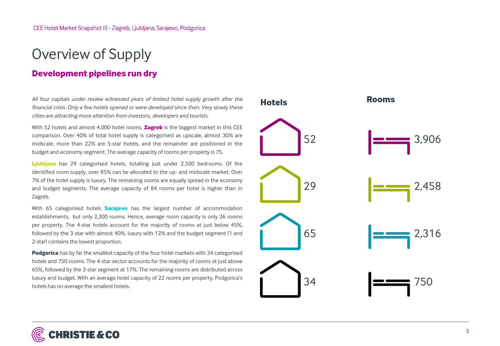# Overview of Supply

### **Development pipelines run dry**

*All four capitals under review witnessed years of limited hotel supply growth after the financial crisis. Only a few hotels opened or were developed since then. Very slowly these cities are attracting more attention from investors, developers and tourists.* 

With 52 hotels and almost 4,000 hotel rooms, **Zagreb** is the biggest market in this CEE comparison. Over 40% of total hotel supply is categorised as upscale, almost 30% are midscale, more than 22% are 5-star hotels, and the remainder are positioned in the budget and economy segment. The average capacity of rooms per property is 75.

**Ljubljana** has 29 categorised hotels, totalling just under 2,500 bedrooms. Of the identified room supply, over 85% can be allocated to the up- and midscale market. Over 7% of the hotel supply is luxury. The remaining rooms are equally spread in the economy and budget segments. The average capacity of 84 rooms per hotel is higher than in Zagreb.

With 65 categorised hotels **Sarajevo** has the largest number of accommodation establishments, but only 2,300 rooms. Hence, average room capacity is only 36 rooms per property. The 4-star hotels account for the majority of rooms at just below 45%, followed by the 3-star with almost 40%, luxury with 12% and the budget segment (1 and 2-star) contains the lowest proportion.

**Podgorica** has by far the smallest capacity of the four hotel markets with 34 categorised hotels and 750 rooms. The 4-star sector accounts for the majority of rooms at just above 65%, followed by the 3-star segment at 17%. The remaining rooms are distributed across luxury and budget. With an average hotel capacity of 22 rooms per property, Podgorica's hotels has on average the smallest hotels.

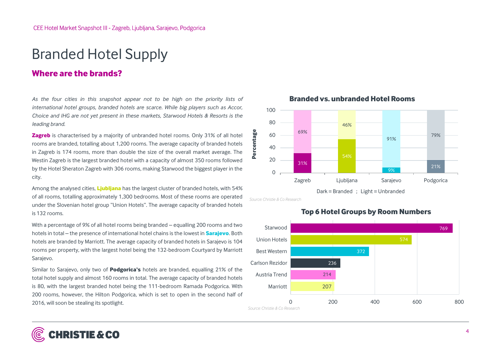### Branded Hotel Supply

### **Where are the brands?**

*As the four cities in this snapshot appear not to be high on the priority lists of international hotel groups, branded hotels are scarce. While big players such as Accor, Choice and IHG are not yet present in these markets, Starwood Hotels & Resorts is the leading brand.*

**Zagreb** is characterised by a majority of unbranded hotel rooms. Only 31% of all hotel rooms are branded, totalling about 1,200 rooms. The average capacity of branded hotels in Zagreb is 174 rooms, more than double the size of the overall market average. The Westin Zagreb is the largest branded hotel with a capacity of almost 350 rooms followed by the Hotel Sheraton Zagreb with 306 rooms, making Starwood the biggest player in the city.

Among the analysed cities, **Ljubljana** has the largest cluster of branded hotels, with 54% of all rooms, totalling approximately 1,300 bedrooms. Most of these rooms are operated under the Slovenian hotel group "Union Hotels". The average capacity of branded hotels is 132 rooms.

With a percentage of 9% of all hotel rooms being branded – equalling 200 rooms and two hotels in total – the presence of international hotel chains is the lowest in **Sarajevo**. Both hotels are branded by Marriott. The average capacity of branded hotels in Sarajevo is 104 rooms per property, with the largest hotel being the 132-bedroom Courtyard by Marriott Sarajevo.

Similar to Sarajevo, only two of **Podgorica's** hotels are branded, equalling 21% of the total hotel supply and almost 160 rooms in total. The average capacity of branded hotels is 80, with the largest branded hotel being the 111-bedroom Ramada Podgorica. With 200 rooms, however, the Hilton Podgorica, which is set to open in the second half of 2016, will soon be stealing its spotlight.



#### **Branded vs. unbranded Hotel Rooms**

**Top 6 Hotel Groups by Room Numbers**



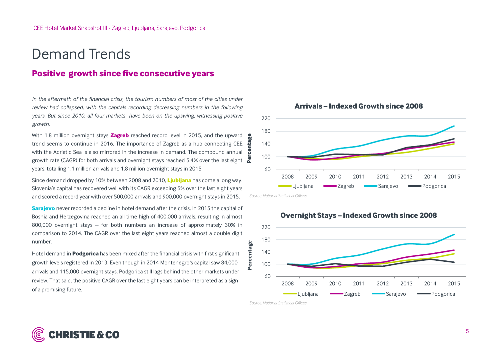### Demand Trends

#### **Positive growth since five consecutive years**

*In the aftermath of the financial crisis, the tourism numbers of most of the cities under review had collapsed, with the capitals recording decreasing numbers in the following years. But since 2010, all four markets have been on the upswing, witnessing positive growth.*

With 1.8 million overnight stays **Zagreb** reached record level in 2015, and the upward trend seems to continue in 2016. The importance of Zagreb as a hub connecting CEE with the Adriatic Sea is also mirrored in the increase in demand. The compound annual growth rate (CAGR) for both arrivals and overnight stays reached 5.4% over the last eight  $\alpha$ years, totalling 1.1 million arrivals and 1.8 million overnight stays in 2015.

Since demand dropped by 10% between 2008 and 2010, **Ljubljana** has come a long way. Slovenia's capital has recovered well with its CAGR exceeding 5% over the last eight years and scored a record year with over 500,000 arrivals and 900,000 overnight stays in 2015.

**Sarajevo** never recorded a decline in hotel demand after the crisis. In 2015 the capital of Bosnia and Herzegovina reached an all time high of 400,000 arrivals, resulting in almost 800,000 overnight stays – for both numbers an increase of approximately 30% in comparison to 2014. The CAGR over the last eight years reached almost a double digit number.

Hotel demand in **Podgorica** has been mixed after the financial crisis with first significant growth levels registered in 2013. Even though in 2014 Montenegro's capital saw 84,000 arrivals and 115,000 overnight stays, Podgorica still lags behind the other markets under review. That said, the positive CAGR over the last eight years can be interpreted as a sign of a promising future.



**Arrivals – Indexed Growth since 2008** 

*Source: National Statistical Offices*

<u>ዴ</u>



#### **Overnight Stays – Indexed Growth since 2008**

*Source: National Statistical Offices*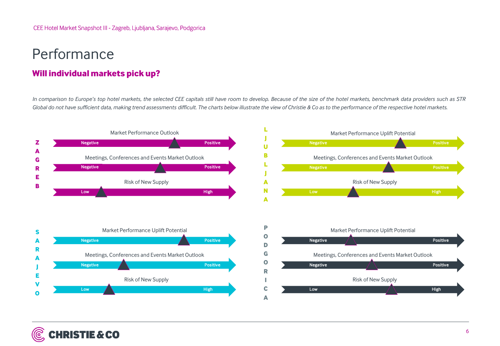# Performance

### **Will individual markets pick up?**

In comparison to Europe's top hotel markets, the selected CEE capitals still have room to develop. Because of the size of the hotel markets, benchmark data providers such as STR Global do not have sufficient data, making trend assessments difficult. The charts below illustrate the view of Christie & Co as to the performance of the respective hotel markets.

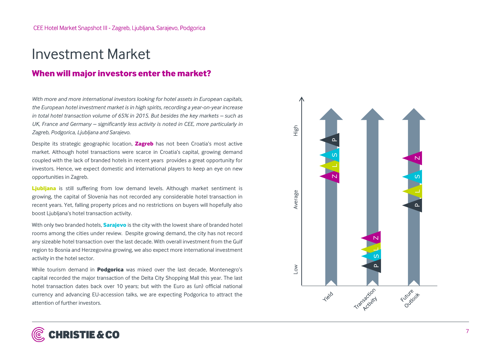### Investment Market

### **When will major investors enter the market?**

*With more and more international investors looking for hotel assets in European capitals, the European hotel investment market is in high spirits, recording a year-on -year increase in total hotel transaction volume of 65% in 2015. But besides the key markets – such as UK, France and Germany – significantly less activity is noted in CEE, more particularly in Zagreb, Podgorica, Ljubljana and Sarajevo .*

Despite its strategic geographic location, **Zagreb** has not been Croatia's most active market . Although hotel transactions were scarce in Croatia's capital, growing demand coupled with the lack of branded hotels in recent years provides a great opportunity for investors . Hence, we expect domestic and international players to keep an eye on new opportunities in Zagreb .

**Ljubljana** is still suffering from low demand levels . Although market sentiment is growing, the capital of Slovenia has not recorded any considerable hotel transaction in recent years . Yet, falling property prices and no restrictions on buyers will hopefully also boost Ljubljana's hotel transaction activity .

With only two branded hotels, **Sarajevo** is the city with the lowest share of branded hotel rooms among the cities under review . Despite growing demand, the city has not record any sizeable hotel transaction over the last decade . With overall investment from the Gulf region to Bosnia and Herzegovina growing, we also expect more international investment activity in the hotel sector .

While tourism demand in **Podgorica** was mixed over the last decade, Montenegro's capital recorded the major transaction of the Delta City Shopping Mall this year . The last hotel transaction dates back over 10 years ; but with the Euro as (un) official national currency and advancing EU -accession talks, we are expecting Podgorica to attract the attention of further investors .

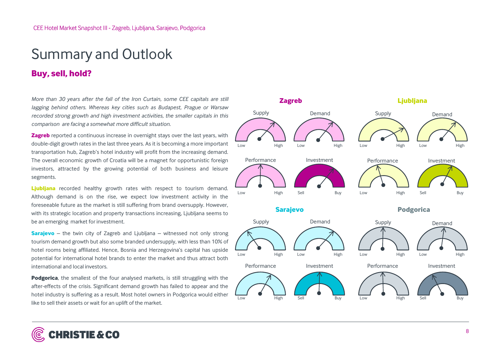# Summary and Outlook

### **Buy, sell, hold?**

*More than 30 years after the fall of the Iron Curtain, some CEE capitals are still lagging behind others. Whereas key cities such as Budapest, Prague or Warsaw recorded strong growth and high investment activities, the smaller capitals in this comparison are facing a somewhat more difficult situation.* 

**Zagreb** reported a continuous increase in overnight stays over the last years, with double-digit growth rates in the last three years. As it is becoming a more important transportation hub, Zagreb's hotel industry will profit from the increasing demand. The overall economic growth of Croatia will be a magnet for opportunistic foreign investors, attracted by the growing potential of both business and leisure segments.

**Ljubljana** recorded healthy growth rates with respect to tourism demand. Although demand is on the rise, we expect low investment activity in the foreseeable future as the market is still suffering from brand oversupply. However, with its strategic location and property transactions increasing, Ljubljana seems to be an emerging market for investment.

**Sarajevo** – the twin city of Zagreb and Ljubljana – witnessed not only strong tourism demand growth but also some branded undersupply, with less than 10% of hotel rooms being affiliated. Hence, Bosnia and Herzegovina's capital has upside potential for international hotel brands to enter the market and thus attract both international and local investors.

**Podgorica**, the smallest of the four analysed markets, is still struggling with the after-effects of the crisis. Significant demand growth has failed to appear and the hotel industry is suffering as a result. Most hotel owners in Podgorica would either like to sell their assets or wait for an uplift of the market.



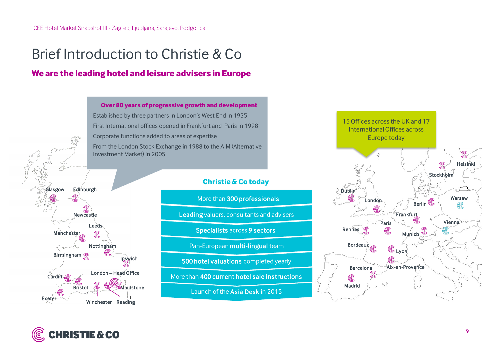# Brief Introduction to Christie & Co

### **We are the leading hotel and leisure advisers in Europe**



### **Christie & Co today**

More than 300 professionals

Leading valuers, consultants and advisers

Specialists across 9 sectors

Pan-European multi-lingual team

500 hotel valuations completed yearly

More than 400 current hotel sale instructions

Launch of the Asia Desk in 2015